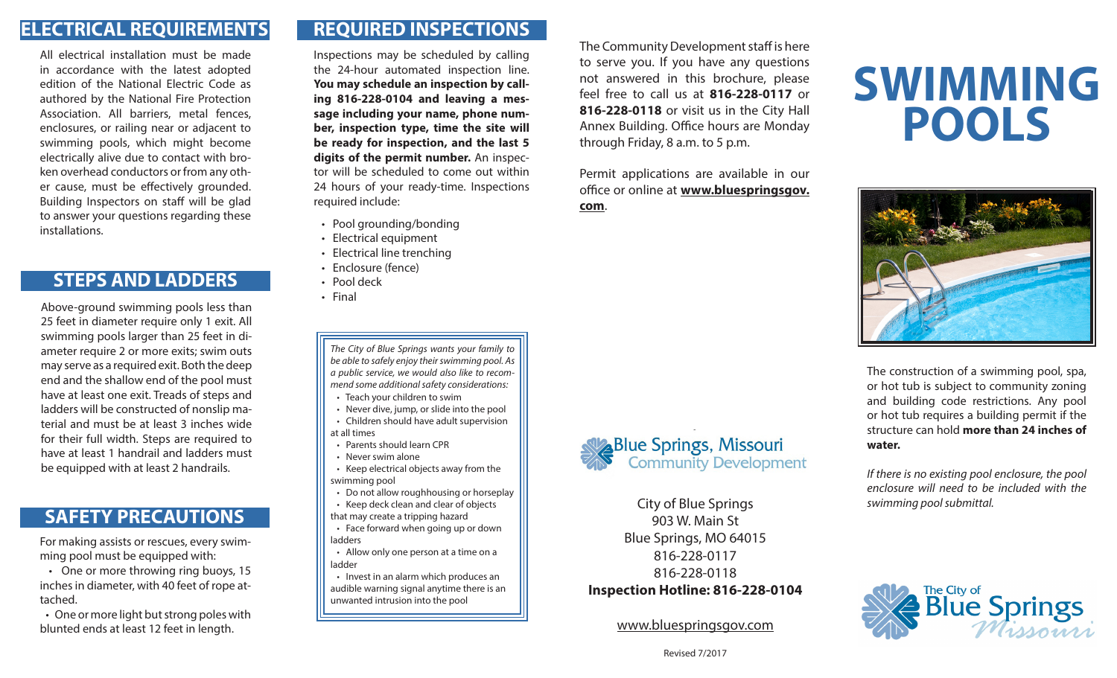#### **ELECTRICAL REQUIREMENTS**

All electrical installation must be made in accordance with the latest adopted edition of the National Electric Code as authored by the National Fire Protection Association. All barriers, metal fences, enclosures, or railing near or adjacent to swimming pools, which might become electrically alive due to contact with broken overhead conductors or from any other cause, must be effectively grounded. Building Inspectors on staff will be glad to answer your questions regarding these installations.

#### **STEPS AND LADDERS**

Above-ground swimming pools less than 25 feet in diameter require only 1 exit. All swimming pools larger than 25 feet in diameter require 2 or more exits; swim outs may serve as a required exit. Both the deep end and the shallow end of the pool must have at least one exit. Treads of steps and ladders will be constructed of nonslip material and must be at least 3 inches wide for their full width. Steps are required to have at least 1 handrail and ladders must be equipped with at least 2 handrails.

#### **SAFETY PRECAUTIONS**

For making assists or rescues, every swimming pool must be equipped with:

 • One or more throwing ring buoys, 15 inches in diameter, with 40 feet of rope attached.

 • One or more light but strong poles with blunted ends at least 12 feet in length.

## **REQUIRED INSPECTIONS**

Inspections may be scheduled by calling the 24-hour automated inspection line. **You may schedule an inspection by calling 816-228-0104 and leaving a message including your name, phone number, inspection type, time the site will be ready for inspection, and the last 5 digits of the permit number.** An inspector will be scheduled to come out within 24 hours of your ready-time. Inspections required include:

- Pool grounding/bonding
- Electrical equipment
- Electrical line trenching
- Enclosure (fence)
- Pool deck
- Final

*The City of Blue Springs wants your family to be able to safely enjoy their swimming pool. As a public service, we would also like to recommend some additional safety considerations:*

• Teach your children to swim

 • Never dive, jump, or slide into the pool • Children should have adult supervision at all times

- Parents should learn CPR
- Never swim alone
- Keep electrical objects away from the swimming pool
- Do not allow roughhousing or horseplay
- Keep deck clean and clear of objects that may create a tripping hazard
- Face forward when going up or down ladders

 • Allow only one person at a time on a ladder

 • Invest in an alarm which produces an audible warning signal anytime there is an unwanted intrusion into the pool

The Community Development staff is here to serve you. If you have any questions not answered in this brochure, please feel free to call us at **816-228-0117** or **816-228-0118** or visit us in the City Hall Annex Building. Office hours are Monday through Friday, 8 a.m. to 5 p.m.

Permit applications are available in our office or online at **www.bluespringsgov. com**.



City of Blue Springs 903 W. Main St Blue Springs, MO 64015 816-228-0117 816-228-0118 **Inspection Hotline: 816-228-0104**

www.bluespringsgov.com

# **SWIMMING POOLS**



The construction of a swimming pool, spa, or hot tub is subject to community zoning and building code restrictions. Any pool or hot tub requires a building permit if the structure can hold **more than 24 inches of water.** 

*If there is no existing pool enclosure, the pool enclosure will need to be included with the swimming pool submittal.*